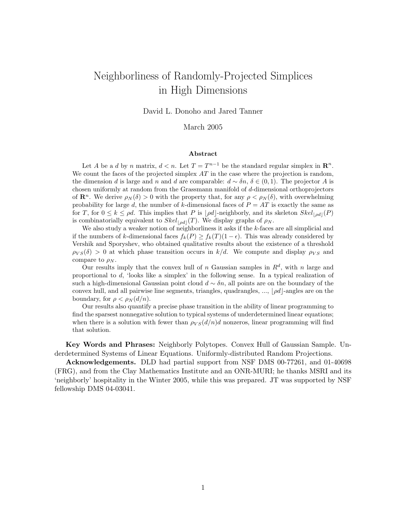# Neighborliness of Randomly-Projected Simplices in High Dimensions

David L. Donoho and Jared Tanner

#### March 2005

#### Abstract

Let A be a d by n matrix,  $d < n$ . Let  $T = T^{n-1}$  be the standard regular simplex in  $\mathbb{R}^n$ . We count the faces of the projected simplex  $AT$  in the case where the projection is random, the dimension d is large and n and d are comparable:  $d \sim \delta n$ ,  $\delta \in (0, 1)$ . The projector A is chosen uniformly at random from the Grassmann manifold of d-dimensional orthoprojectors of  $\mathbb{R}^n$ . We derive  $\rho_N(\delta) > 0$  with the property that, for any  $\rho < \rho_N(\delta)$ , with overwhelming probability for large d, the number of k-dimensional faces of  $P = AT$  is exactly the same as for T, for  $0 \leq k \leq \rho d$ . This implies that P is  $|\rho d|$ -neighborly, and its skeleton  $Skel_{\rho d}(\mathcal{P})$ is combinatorially equivalent to  $Skel_{\lfloor od\rfloor}(T)$ . We display graphs of  $\rho_N$ .

We also study a weaker notion of neighborliness it asks if the k-faces are all simplicial and if the numbers of k-dimensional faces  $f_k(P) \geq f_k(T)(1 - \epsilon)$ . This was already considered by Vershik and Sporyshev, who obtained qualitative results about the existence of a threshold  $\rho_{VS}(\delta) > 0$  at which phase transition occurs in  $k/d$ . We compute and display  $\rho_{VS}$  and compare to  $\rho_N$ .

Our results imply that the convex hull of n Gaussian samples in  $R<sup>d</sup>$ , with n large and proportional to d, 'looks like a simplex' in the following sense. In a typical realization of such a high-dimensional Gaussian point cloud  $d \sim \delta n$ , all points are on the boundary of the convex hull, and all pairwise line segments, triangles, quadrangles, ...,  $|\rho d|$ -angles are on the boundary, for  $\rho < \rho_N(d/n)$ .

Our results also quantify a precise phase transition in the ability of linear programming to find the sparsest nonnegative solution to typical systems of underdetermined linear equations; when there is a solution with fewer than  $\rho_{VS}(d/n)d$  nonzeros, linear programming will find that solution.

Key Words and Phrases: Neighborly Polytopes. Convex Hull of Gaussian Sample. Underdetermined Systems of Linear Equations. Uniformly-distributed Random Projections.

Acknowledgements. DLD had partial support from NSF DMS 00-77261, and 01-40698 (FRG), and from the Clay Mathematics Institute and an ONR-MURI; he thanks MSRI and its 'neighborly' hospitality in the Winter 2005, while this was prepared. JT was supported by NSF fellowship DMS 04-03041.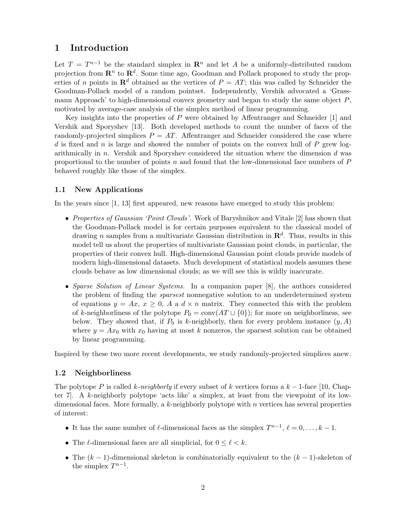## 1 Introduction

Let  $T = T^{n-1}$  be the standard simplex in  $\mathbb{R}^n$  and let A be a uniformly-distributed random projection from  $\mathbf{R}^n$  to  $\mathbf{R}^d$ . Some time ago, Goodman and Pollack proposed to study the properties of n points in  $\mathbb{R}^d$  obtained as the vertices of  $P = AT$ ; this was called by Schneider the Goodman-Pollack model of a random pointset. Independently, Vershik advocated a 'Grassmann Approach' to high-dimensional convex geometry and began to study the same object  $P$ , motivated by average-case analysis of the simplex method of linear programming.

Key insights into the properties of P were obtained by Affentranger and Schneider [1] and Vershik and Sporyshev [13]. Both developed methods to count the number of faces of the randomly-projected simplices  $P = AT$ . Affentranger and Schneider considered the case where d is fixed and n is large and showed the number of points on the convex hull of  $P$  grew logarithmically in n. Vershik and Sporyshev considered the situation where the dimension d was proportional to the number of points n and found that the low-dimensional face numbers of  $P$ behaved roughly like those of the simplex.

#### 1.1 New Applications

In the years since [1, 13] first appeared, new reasons have emerged to study this problem:

- Properties of Gaussian 'Point Clouds'. Work of Baryshnikov and Vitale [2] has shown that the Goodman-Pollack model is for certain purposes equivalent to the classical model of drawing n samples from a multivariate Gaussian distribution in  $\mathbb{R}^d$ . Thus, results in this model tell us about the properties of multivariate Gaussian point clouds, in particular, the properties of their convex hull. High-dimensional Gaussian point clouds provide models of modern high-dimensional datasets. Much development of statistical models assumes these clouds behave as low dimensional clouds; as we will see this is wildly inaccurate.
- Sparse Solution of Linear Systems. In a companion paper [8], the authors considered the problem of finding the sparsest nonnegative solution to an underdetermined system of equations  $y = Ax, x \ge 0$ , A a  $d \times n$  matrix. They connected this with the problem of k-neighborliness of the polytope  $P_0 = \text{conv}(AT \cup \{0\})$ ; for more on neighborliness, see below. They showed that, if  $P_0$  is k-neighborly, then for every problem instance  $(y, A)$ where  $y = Ax_0$  with  $x_0$  having at most k nonzeros, the sparsest solution can be obtained by linear programming.

Inspired by these two more recent developments, we study randomly-projected simplices anew.

#### 1.2 Neighborliness

The polytope P is called k-neighborly if every subset of k vertices forms a  $k-1$ -face [10, Chapter 7]. A k-neighborly polytope 'acts like' a simplex, at least from the viewpoint of its lowdimensional faces. More formally, a  $k$ -neighborly polytope with  $n$  vertices has several properties of interest:

- It has the same number of  $\ell$ -dimensional faces as the simplex  $T^{n-1}$ ,  $\ell = 0, \ldots, k 1$ .
- The  $\ell$ -dimensional faces are all simplicial, for  $0 \leq \ell < k$ .
- The  $(k-1)$ -dimensional skeleton is combinatorially equivalent to the  $(k-1)$ -skeleton of the simplex  $T^{n-1}$ .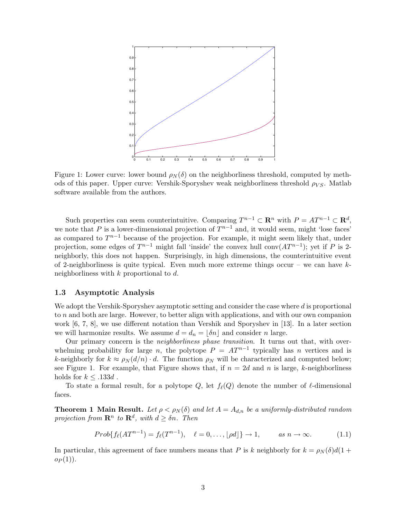

Figure 1: Lower curve: lower bound  $\rho_N(\delta)$  on the neighborliness threshold, computed by methods of this paper. Upper curve: Vershik-Sporyshev weak neighborliness threshold  $\rho_{VS}$ . Matlab software available from the authors.

Such properties can seem counterintuitive. Comparing  $T^{n-1} \subset \mathbb{R}^n$  with  $P = AT^{n-1} \subset \mathbb{R}^d$ , we note that P is a lower-dimensional projection of  $T^{n-1}$  and, it would seem, might 'lose faces' as compared to  $T^{n-1}$  because of the projection. For example, it might seem likely that, under projection, some edges of  $T^{n-1}$  might fall 'inside' the convex hull conv $(AT^{n-1})$ ; yet if P is 2neighborly, this does not happen. Surprisingly, in high dimensions, the counterintuitive event of 2-neighborliness is quite typical. Even much more extreme things occur – we can have  $k$ neighborliness with  $k$  proportional to  $d$ .

#### 1.3 Asymptotic Analysis

We adopt the Vershik-Sporyshev asymptotic setting and consider the case where d is proportional to n and both are large. However, to better align with applications, and with our own companion work [6, 7, 8], we use different notation than Vershik and Sporyshev in [13]. In a later section we will harmonize results. We assume  $d = d_n = |\delta n|$  and consider n large.

Our primary concern is the *neighborliness phase transition*. It turns out that, with overwhelming probability for large n, the polytope  $P = AT^{n-1}$  typically has n vertices and is k-neighborly for  $k \approx \rho_N(d/n) \cdot d$ . The function  $\rho_N$  will be characterized and computed below; see Figure 1. For example, that Figure shows that, if  $n = 2d$  and n is large, k-neighborliness holds for  $k \leq .133d$ .

To state a formal result, for a polytope Q, let  $f_{\ell}(Q)$  denote the number of  $\ell$ -dimensional faces.

**Theorem 1 Main Result.** Let  $\rho < \rho_N(\delta)$  and let  $A = A_{d,n}$  be a uniformly-distributed random projection from  $\mathbf{R}^n$  to  $\mathbf{R}^d$ , with  $d \geq \delta n$ . Then

$$
Prob\{f_{\ell}(AT^{n-1})=f_{\ell}(T^{n-1}), \quad \ell=0,\ldots,\lfloor\rho d\rfloor\}\to 1, \qquad as\ n\to\infty. \tag{1.1}
$$

In particular, this agreement of face numbers means that P is k neighborly for  $k = \rho_N(\delta) d(1 +$  $op(1)).$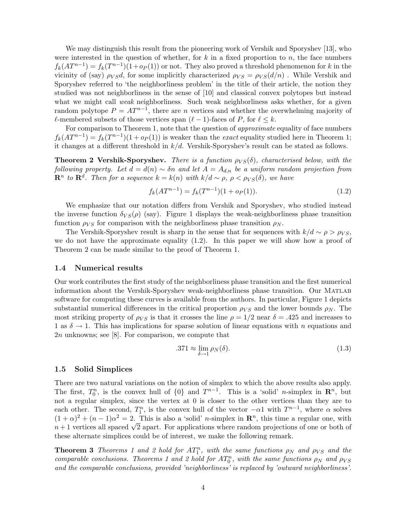We may distinguish this result from the pioneering work of Vershik and Sporyshev [13], who were interested in the question of whether, for  $k$  in a fixed proportion to  $n$ , the face numbers  $f_k(AT^{n-1}) = f_k(T^{n-1})(1+o_P(1))$  or not. They also proved a threshold phenomenon for k in the vicinity of (say)  $\rho_{VS}d$ , for some implicitly characterized  $\rho_{VS} = \rho_{VS}(d/n)$ . While Vershik and Sporyshev referred to 'the neighborliness problem' in the title of their article, the notion they studied was not neighborliness in the sense of [10] and classical convex polytopes but instead what we might call *weak* neighborliness. Such weak neighborliness asks whether, for a given random polytope  $P = AT^{n-1}$ , there are n vertices and whether the overwhelming majority of  $\ell$ -membered subsets of those vertices span  $(\ell - 1)$ -faces of P, for  $\ell \leq k$ .

For comparison to Theorem 1, note that the question of *approximate* equality of face numbers  $f_k(AT^{n-1}) = f_k(T^{n-1})(1 + o_P(1))$  is weaker than the *exact* equality studied here in Theorem 1; it changes at a different threshold in  $k/d$ . Vershik-Sporyshev's result can be stated as follows.

**Theorem 2 Vershik-Sporyshev.** There is a function  $\rho_{VS}(\delta)$ , characterised below, with the following property. Let  $d = d(n) \sim \delta n$  and let  $A = A_{d,n}$  be a uniform random projection from  $\mathbf{R}^n$  to  $\mathbf{R}^d$ . Then for a sequence  $k = k(n)$  with  $k/d \sim \rho, \, \rho < \rho_{VS}(\delta)$ , we have

$$
f_k(AT^{n-1}) = f_k(T^{n-1})(1 + o_P(1)).
$$
\n(1.2)

We emphasize that our notation differs from Vershik and Sporyshev, who studied instead the inverse function  $\delta_{VS}(\rho)$  (say). Figure 1 displays the weak-neighborliness phase transition function  $\rho_{VS}$  for comparison with the neighborliness phase transition  $\rho_N$ .

The Vershik-Sporyshev result is sharp in the sense that for sequences with  $k/d \sim \rho > \rho_{VS}$ , we do not have the approximate equality (1.2). In this paper we will show how a proof of Theorem 2 can be made similar to the proof of Theorem 1.

#### 1.4 Numerical results

Our work contributes the first study of the neighborliness phase transition and the first numerical information about the Vershik-Sporyshev weak-neighborliness phase transition. Our Matlab software for computing these curves is available from the authors. In particular, Figure 1 depicts substantial numerical differences in the critical proportion  $\rho_{VS}$  and the lower bounds  $\rho_N$ . The most striking property of  $\rho_{VS}$  is that it crosses the line  $\rho = 1/2$  near  $\delta = .425$  and increases to 1 as  $\delta \rightarrow 1$ . This has implications for sparse solution of linear equations with n equations and 2n unknowns; see [8]. For comparison, we compute that

$$
.371 \approx \lim_{\delta \to 1} \rho_N(\delta). \tag{1.3}
$$

#### 1.5 Solid Simplices

There are two natural variations on the notion of simplex to which the above results also apply. The first,  $T_0^n$ , is the convex hull of  $\{0\}$  and  $T^{n-1}$ . This is a 'solid' *n*-simplex in  $\mathbb{R}^n$ , but not a regular simplex, since the vertex at 0 is closer to the other vertices than they are to each other. The second,  $T_1^n$ , is the convex hull of the vector  $-\alpha 1$  with  $T^{n-1}$ , where  $\alpha$  solves  $(1+\alpha)^2 + (n-1)\alpha^2 = 2$ . This is also a 'solid' *n*-simplex in  $\mathbb{R}^n$ , this time a regular one, with  $(n + \alpha)^2 + (n - 1)\alpha^2 = 2$ . This is also a solid *n*-simplex in  $\mathbb{R}^n$ , this time a regular one, with  $n+1$  vertices all spaced  $\sqrt{2}$  apart. For applications where random projections of one or both of these alternate simplices could be of interest, we make the following remark.

**Theorem 3** Theorems 1 and 2 hold for  $AT_1^n$ , with the same functions  $\rho_N$  and  $\rho_{VS}$  and the comparable conclusions. Theorems 1 and 2 hold for  $AT_0^n$ , with the same functions  $\rho_N$  and  $\rho_{VS}$ and the comparable conclusions, provided 'neighborliness' is replaced by 'outward neighborliness'.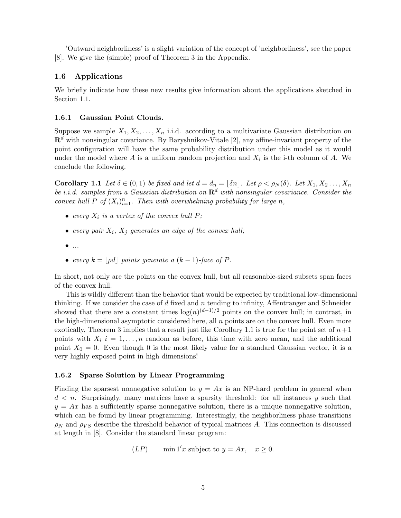'Outward neighborliness' is a slight variation of the concept of 'neighborliness', see the paper [8]. We give the (simple) proof of Theorem 3 in the Appendix.

#### 1.6 Applications

We briefly indicate how these new results give information about the applications sketched in Section 1.1.

#### 1.6.1 Gaussian Point Clouds.

Suppose we sample  $X_1, X_2, \ldots, X_n$  i.i.d. according to a multivariate Gaussian distribution on  $\mathbb{R}^d$  with nonsingular covariance. By Baryshnikov-Vitale [2], any affine-invariant property of the point configuration will have the same probability distribution under this model as it would under the model where  $A$  is a uniform random projection and  $X_i$  is the i-th column of  $A$ . We conclude the following.

**Corollary 1.1** Let  $\delta \in (0,1)$  be fixed and let  $d = d_n = \lfloor \delta n \rfloor$ . Let  $\rho < \rho_N(\delta)$ . Let  $X_1, X_2, \ldots, X_n$ be i.i.d. samples from a Gaussian distribution on  $\mathbb{R}^d$  with nonsingular covariance. Consider the convex hull P of  $(X_i)_{i=1}^n$ . Then with overwhelming probability for large n,

- every  $X_i$  is a vertex of the convex hull P;
- every pair  $X_i$ ,  $X_j$  generates an edge of the convex hull;
- $\bullet$  ...
- every  $k = | \rho d |$  points generate a  $(k 1)$ -face of P.

In short, not only are the points on the convex hull, but all reasonable-sized subsets span faces of the convex hull.

This is wildly different than the behavior that would be expected by traditional low-dimensional thinking. If we consider the case of  $d$  fixed and  $n$  tending to infinity, Affentranger and Schneider showed that there are a constant times  $log(n)^{(d-1)/2}$  points on the convex hull; in contrast, in the high-dimensional asymptotic considered here, all  $n$  points are on the convex hull. Even more exotically, Theorem 3 implies that a result just like Corollary 1.1 is true for the point set of  $n+1$ points with  $X_i$  i = 1,..., n random as before, this time with zero mean, and the additional point  $X_0 = 0$ . Even though 0 is the most likely value for a standard Gaussian vector, it is a very highly exposed point in high dimensions!

#### 1.6.2 Sparse Solution by Linear Programming

Finding the sparsest nonnegative solution to  $y = Ax$  is an NP-hard problem in general when  $d < n$ . Surprisingly, many matrices have a sparsity threshold: for all instances y such that  $y = Ax$  has a sufficiently sparse nonnegative solution, there is a unique nonnegative solution, which can be found by linear programming. Interestingly, the neighborliness phase transitions  $\rho_N$  and  $\rho_{VS}$  describe the threshold behavior of typical matrices A. This connection is discussed at length in [8]. Consider the standard linear program:

$$
(LP) \qquad \min \mathbf{1}'x \text{ subject to } y = Ax, \quad x \ge 0.
$$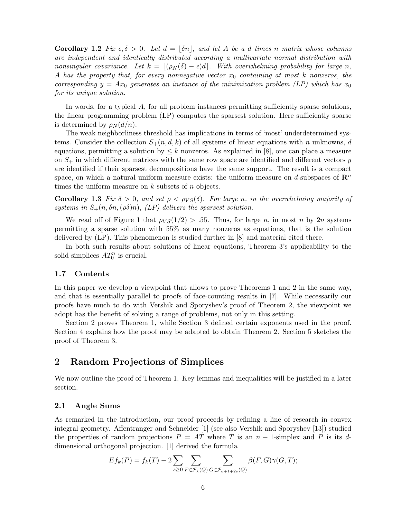Corollary 1.2 Fix  $\epsilon, \delta > 0$ . Let  $d = |\delta n|$ , and let A be a d times n matrix whose columns are independent and identically distributed according a multivariate normal distribution with nonsingular covariance. Let  $k = |(\rho_N (\delta) - \epsilon) d|$ . With overwhelming probability for large n, A has the property that, for every nonnegative vector  $x_0$  containing at most k nonzeros, the corresponding  $y = Ax_0$  generates an instance of the minimization problem (LP) which has  $x_0$ for its unique solution.

In words, for a typical A, for all problem instances permitting sufficiently sparse solutions, the linear programming problem (LP) computes the sparsest solution. Here sufficiently sparse is determined by  $\rho_N(d/n)$ .

The weak neighborliness threshold has implications in terms of 'most' underdetermined systems. Consider the collection  $S_+(n, d, k)$  of all systems of linear equations with n unknowns, d equations, permitting a solution by  $\leq k$  nonzeros. As explained in [8], one can place a measure on  $S_{+}$  in which different matrices with the same row space are identified and different vectors y are identified if their sparsest decompositions have the same support. The result is a compact space, on which a natural uniform measure exists: the uniform measure on d-subspaces of  $\mathbb{R}^n$ times the uniform measure on  $k$ -subsets of  $n$  objects.

Corollary 1.3 Fix  $\delta > 0$ , and set  $\rho < \rho_{VS}(\delta)$ . For large n, in the overwhelming majority of systems in  $S_+(n, \delta n, (\rho \delta)n)$ , (LP) delivers the sparsest solution.

We read off of Figure 1 that  $\rho_{VS}(1/2) > .55$ . Thus, for large n, in most n by 2n systems permitting a sparse solution with 55% as many nonzeros as equations, that is the solution delivered by (LP). This phenomenon is studied further in [8] and material cited there.

In both such results about solutions of linear equations, Theorem 3's applicability to the solid simplices  $AT_0^n$  is crucial.

#### 1.7 Contents

In this paper we develop a viewpoint that allows to prove Theorems 1 and 2 in the same way, and that is essentially parallel to proofs of face-counting results in [7]. While necessarily our proofs have much to do with Vershik and Sporyshev's proof of Theorem 2, the viewpoint we adopt has the benefit of solving a range of problems, not only in this setting.

Section 2 proves Theorem 1, while Section 3 defined certain exponents used in the proof. Section 4 explains how the proof may be adapted to obtain Theorem 2. Section 5 sketches the proof of Theorem 3.

## 2 Random Projections of Simplices

We now outline the proof of Theorem 1. Key lemmas and inequalities will be justified in a later section.

#### 2.1 Angle Sums

As remarked in the introduction, our proof proceeds by refining a line of research in convex integral geometry. Affentranger and Schneider [1] (see also Vershik and Sporyshev [13]) studied the properties of random projections  $P = AT$  where T is an  $n-1$ -simplex and P is its ddimensional orthogonal projection. [1] derived the formula

$$
Ef_k(P) = f_k(T) - 2 \sum_{s \ge 0} \sum_{F \in \mathcal{F}_k(Q)} \sum_{G \in \mathcal{F}_{d+1+2s}(Q)} \beta(F, G) \gamma(G, T);
$$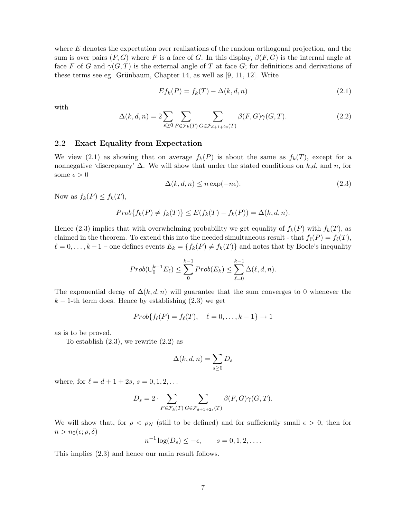where  $E$  denotes the expectation over realizations of the random orthogonal projection, and the sum is over pairs  $(F, G)$  where F is a face of G. In this display,  $\beta(F, G)$  is the internal angle at face F of G and  $\gamma(G,T)$  is the external angle of T at face G; for definitions and derivations of these terms see eg. Grünbaum, Chapter 14, as well as  $[9, 11, 12]$ . Write

$$
Ef_k(P) = f_k(T) - \Delta(k, d, n) \tag{2.1}
$$

with

$$
\Delta(k, d, n) = 2 \sum_{s \ge 0} \sum_{F \in \mathcal{F}_k(T)} \sum_{G \in \mathcal{F}_{d+1+2s}(T)} \beta(F, G) \gamma(G, T). \tag{2.2}
$$

#### 2.2 Exact Equality from Expectation

We view (2.1) as showing that on average  $f_k(P)$  is about the same as  $f_k(T)$ , except for a nonnegative 'discrepancy'  $\Delta$ . We will show that under the stated conditions on k,d, and n, for some  $\epsilon > 0$ 

$$
\Delta(k, d, n) \le n \exp(-n\epsilon). \tag{2.3}
$$

Now as  $f_k(P) \leq f_k(T)$ ,

$$
Prob{f_k(P) \neq f_k(T)} \leq E(f_k(T) - f_k(P)) = \Delta(k, d, n).
$$

Hence (2.3) implies that with overwhelming probability we get equality of  $f_k(P)$  with  $f_k(T)$ , as claimed in the theorem. To extend this into the needed simultaneous result - that  $f_{\ell}(P) = f_{\ell}(T)$ ,  $\ell = 0, \ldots, k - 1$  – one defines events  $E_k = \{f_k(P) \neq f_k(T)\}\$ and notes that by Boole's inequality

$$
Prob(\cup_0^{k-1} E_\ell) \le \sum_0^{k-1} Prob(E_k) \le \sum_{\ell=0}^{k-1} \Delta(\ell, d, n).
$$

The exponential decay of  $\Delta(k, d, n)$  will guarantee that the sum converges to 0 whenever the  $k-1$ -th term does. Hence by establishing  $(2.3)$  we get

$$
Prob{f_{\ell}(P) = f_{\ell}(T), \quad \ell = 0, \ldots, k-1} \to 1
$$

as is to be proved.

To establish  $(2.3)$ , we rewrite  $(2.2)$  as

$$
\Delta(k,d,n) = \sum_{s \geq 0} D_s
$$

where, for  $\ell = d + 1 + 2s$ ,  $s = 0, 1, 2, \ldots$ 

$$
D_s = 2 \cdot \sum_{F \in \mathcal{F}_k(T)} \sum_{G \in \mathcal{F}_{d+1+2s}(T)} \beta(F, G) \gamma(G, T).
$$

We will show that, for  $\rho < \rho_N$  (still to be defined) and for sufficiently small  $\epsilon > 0$ , then for  $n > n_0(\epsilon; \rho, \delta)$ 

$$
n^{-1}\log(D_s) \le -\epsilon, \qquad s = 0, 1, 2, \dots.
$$

This implies (2.3) and hence our main result follows.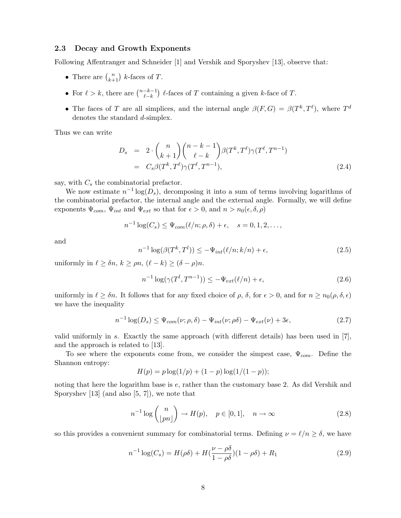#### 2.3 Decay and Growth Exponents

Following Affentranger and Schneider [1] and Vershik and Sporyshev [13], observe that:

- There are  $\binom{n}{k+1}$  k-faces of T.
- For  $\ell > k$ , there are  $\binom{n-k-1}{\ell-k}$  $\binom{-k-1}{\ell-k}$  lefaces of T containing a given k-face of T.
- The faces of T are all simplices, and the internal angle  $\beta(F,G) = \beta(T^k,T^{\ell})$ , where  $T^d$ denotes the standard d-simplex.

Thus we can write

$$
D_s = 2 \cdot {n \choose k+1} {n-k-1 \choose \ell-k} \beta(T^k, T^{\ell}) \gamma(T^{\ell}, T^{n-1})
$$
  
=  $C_s \beta(T^k, T^{\ell}) \gamma(T^{\ell}, T^{n-1}),$  (2.4)

say, with  $C_s$  the combinatorial prefactor.

We now estimate  $n^{-1} \log(D_s)$ , decomposing it into a sum of terms involving logarithms of the combinatorial prefactor, the internal angle and the external angle. Formally, we will define exponents  $\Psi_{com}$ ,  $\Psi_{int}$  and  $\Psi_{ext}$  so that for  $\epsilon > 0$ , and  $n > n_0(\epsilon, \delta, \rho)$ 

$$
n^{-1}\log(C_s) \leq \Psi_{com}(\ell/n;\rho,\delta) + \epsilon, \quad s = 0, 1, 2, \dots,
$$

and

$$
n^{-1}\log(\beta(T^k, T^l)) \le -\Psi_{int}(\ell/n; k/n) + \epsilon,\tag{2.5}
$$

uniformly in  $\ell \geq \delta n, k \geq \rho n, (\ell - k) \geq (\delta - \rho)n$ .

$$
n^{-1}\log(\gamma(T^l, T^{n-1})) \le -\Psi_{ext}(\ell/n) + \epsilon,\tag{2.6}
$$

uniformly in  $\ell \geq \delta n$ . It follows that for any fixed choice of  $\rho$ ,  $\delta$ , for  $\epsilon > 0$ , and for  $n \geq n_0(\rho, \delta, \epsilon)$ we have the inequality

$$
n^{-1}\log(D_s) \le \Psi_{com}(\nu;\rho,\delta) - \Psi_{int}(\nu;\rho\delta) - \Psi_{ext}(\nu) + 3\epsilon,
$$
\n(2.7)

valid uniformly in s. Exactly the same approach (with different details) has been used in [7], and the approach is related to [13].

To see where the exponents come from, we consider the simpest case,  $\Psi_{com}$ . Define the Shannon entropy:

$$
H(p) = p \log(1/p) + (1-p) \log(1/(1-p));
$$

noting that here the logarithm base is e, rather than the customary base 2. As did Vershik and Sporyshev [13] (and also [5, 7]), we note that

$$
n^{-1}\log\binom{n}{\lfloor pn\rfloor} \to H(p), \quad p \in [0,1], \quad n \to \infty \tag{2.8}
$$

so this provides a convenient summary for combinatorial terms. Defining  $\nu = \ell/n \geq \delta$ , we have

$$
n^{-1}\log(C_s) = H(\rho\delta) + H(\frac{\nu - \rho\delta}{1 - \rho\delta})(1 - \rho\delta) + R_1
$$
\n(2.9)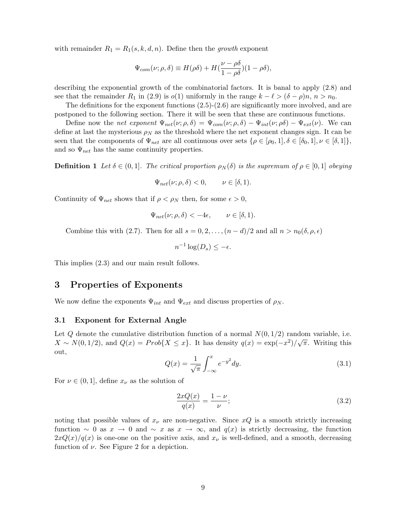with remainder  $R_1 = R_1(s, k, d, n)$ . Define then the growth exponent

$$
\Psi_{com}(\nu;\rho,\delta) \equiv H(\rho\delta) + H(\frac{\nu-\rho\delta}{1-\rho\delta})(1-\rho\delta),
$$

describing the exponential growth of the combinatorial factors. It is banal to apply (2.8) and see that the remainder  $R_1$  in (2.9) is  $o(1)$  uniformly in the range  $k - \ell > (\delta - \rho)n$ ,  $n > n_0$ .

The definitions for the exponent functions (2.5)-(2.6) are significantly more involved, and are postponed to the following section. There it will be seen that these are continuous functions.

Define now the net exponent  $\Psi_{net}(\nu;\rho,\delta) = \Psi_{com}(\nu;\rho,\delta) - \Psi_{int}(\nu;\rho\delta) - \Psi_{ext}(\nu)$ . We can define at last the mysterious  $\rho_N$  as the threshold where the net exponent changes sign. It can be seen that the components of  $\Psi_{net}$  are all continuous over sets  $\{\rho \in [\rho_0, 1], \delta \in [\delta_0, 1], \nu \in [\delta, 1]\},\$ and so  $\Psi_{net}$  has the same continuity properties.

**Definition 1** Let  $\delta \in (0,1]$ . The critical proportion  $\rho_N(\delta)$  is the supremum of  $\rho \in [0,1]$  obeying

$$
\Psi_{net}(\nu;\rho,\delta) < 0, \qquad \nu \in [\delta,1).
$$

Continuity of  $\Psi_{net}$  shows that if  $\rho < \rho_N$  then, for some  $\epsilon > 0$ ,

$$
\Psi_{net}(\nu;\rho,\delta) < -4\epsilon, \qquad \nu \in [\delta,1).
$$

Combine this with (2.7). Then for all  $s = 0, 2, \ldots, (n - d)/2$  and all  $n > n_0(\delta, \rho, \epsilon)$ 

$$
n^{-1}\log(D_s) \le -\epsilon.
$$

This implies (2.3) and our main result follows.

### 3 Properties of Exponents

We now define the exponents  $\Psi_{int}$  and  $\Psi_{ext}$  and discuss properties of  $\rho_N$ .

#### 3.1 Exponent for External Angle

Let Q denote the cumulative distribution function of a normal  $N(0, 1/2)$  random variable, i.e.  $X \sim N(0, 1/2)$ , and  $Q(x) = Prob\{X \leq x\}$ . It has density  $q(x) = \exp(-x^2)/\sqrt{\pi}$ . Writing this out,

$$
Q(x) = \frac{1}{\sqrt{\pi}} \int_{-\infty}^{x} e^{-y^2} dy.
$$
 (3.1)

For  $\nu \in (0, 1]$ , define  $x_{\nu}$  as the solution of

$$
\frac{2xQ(x)}{q(x)} = \frac{1-\nu}{\nu};\tag{3.2}
$$

noting that possible values of  $x_{\nu}$  are non-negative. Since  $xQ$  is a smooth strictly increasing function ~ 0 as  $x \to 0$  and ~ x as  $x \to \infty$ , and  $q(x)$  is strictly decreasing, the function  $2xQ(x)/q(x)$  is one-one on the positive axis, and  $x_{\nu}$  is well-defined, and a smooth, decreasing function of  $\nu$ . See Figure 2 for a depiction.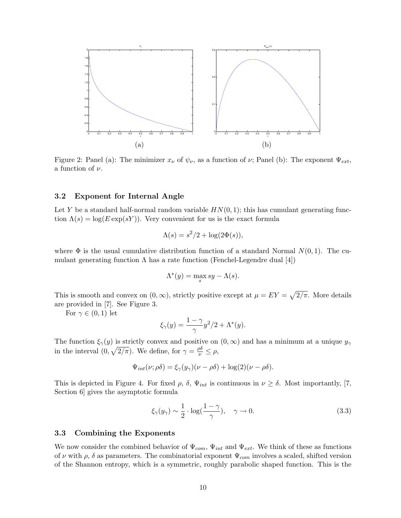

Figure 2: Panel (a): The minimizer  $x_{\nu}$  of  $\psi_{\nu}$ , as a function of  $\nu$ ; Panel (b): The exponent  $\Psi_{ext}$ , a function of  $\nu$ .

#### 3.2 Exponent for Internal Angle

Let Y be a standard half-normal random variable  $HN(0, 1)$ ; this has cumulant generating function  $\Lambda(s) = \log(E \exp(sY))$ . Very convenient for us is the exact formula

$$
\Lambda(s) = s^2/2 + \log(2\Phi(s)),
$$

where  $\Phi$  is the usual cumulative distribution function of a standard Normal  $N(0, 1)$ . The cumulant generating function  $\Lambda$  has a rate function (Fenchel-Legendre dual [4])

$$
\Lambda^*(y) = \max_s sy - \Lambda(s).
$$

This is smooth and convex on  $(0, \infty)$ , strictly positive except at  $\mu = EY = \sqrt{2/\pi}$ . More details are provided in [7]. See Figure 3.

For  $\gamma \in (0,1)$  let

$$
\xi_{\gamma}(y) = \frac{1-\gamma}{\gamma}y^2/2 + \Lambda^*(y).
$$

The function  $\xi_{\gamma}(y)$  is strictly convex and positive on  $(0,\infty)$  and has a minimum at a unique  $y_{\gamma}$ in the interval  $(0, \sqrt{2/\pi})$ . We define, for  $\gamma = \frac{\rho \delta}{\nu} \leq \rho$ ,

$$
\Psi_{int}(\nu;\rho\delta) = \xi_{\gamma}(y_{\gamma})(\nu - \rho\delta) + \log(2)(\nu - \rho\delta).
$$

This is depicted in Figure 4. For fixed  $\rho$ ,  $\delta$ ,  $\Psi_{int}$  is continuous in  $\nu \geq \delta$ . Most importantly, [7, Section 6] gives the asymptotic formula

$$
\xi_{\gamma}(y_{\gamma}) \sim \frac{1}{2} \cdot \log(\frac{1-\gamma}{\gamma}), \quad \gamma \to 0. \tag{3.3}
$$

#### 3.3 Combining the Exponents

We now consider the combined behavior of  $\Psi_{com}$ ,  $\Psi_{int}$  and  $\Psi_{ext}$ . We think of these as functions of  $\nu$  with  $\rho$ ,  $\delta$  as parameters. The combinatorial exponent  $\Psi_{com}$  involves a scaled, shifted version of the Shannon entropy, which is a symmetric, roughly parabolic shaped function. This is the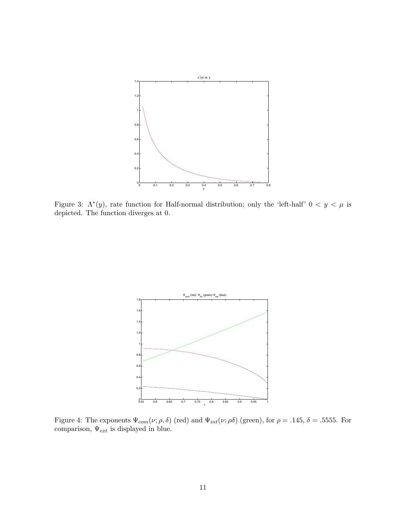

Figure 3:  $\Lambda^*(y)$ , rate function for Half-normal distribution; only the 'left-half'  $0 < y < \mu$  is depicted. The function diverges at 0.



Figure 4: The exponents  $\Psi_{com}(\nu;\rho,\delta)$  (red) and  $\Psi_{int}(\nu;\rho\delta)$  (green), for  $\rho = .145, \delta = .5555$ . For comparison,  $\Psi_{ext}$  is displayed in blue.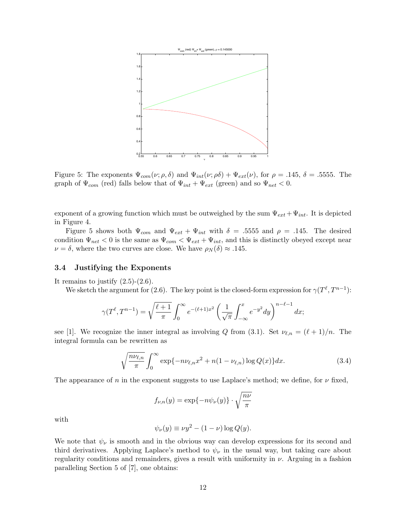

Figure 5: The exponents  $\Psi_{com}(\nu;\rho,\delta)$  and  $\Psi_{int}(\nu;\rho\delta) + \Psi_{ext}(\nu)$ , for  $\rho = .145, \delta = .5555$ . The graph of  $\Psi_{com}$  (red) falls below that of  $\Psi_{int} + \Psi_{ext}$  (green) and so  $\Psi_{net} < 0$ .

exponent of a growing function which must be outweighed by the sum  $\Psi_{ext} + \Psi_{int}$ . It is depicted in Figure 4.

Figure 5 shows both  $\Psi_{com}$  and  $\Psi_{ext} + \Psi_{int}$  with  $\delta = .5555$  and  $\rho = .145$ . The desired condition  $\Psi_{net} < 0$  is the same as  $\Psi_{com} < \Psi_{ext} + \Psi_{int}$ , and this is distinctly obeyed except near  $\nu = \delta$ , where the two curves are close. We have  $\rho_N(\delta) \approx .145$ .

#### 3.4 Justifying the Exponents

It remains to justify  $(2.5)-(2.6)$ .

We sketch the argument for (2.6). The key point is the closed-form expression for  $\gamma(T^{\ell}, T^{n-1})$ :

$$
\gamma(T^{\ell}, T^{n-1}) = \sqrt{\frac{\ell+1}{\pi}} \int_0^{\infty} e^{-(\ell+1)x^2} \left(\frac{1}{\sqrt{\pi}} \int_{-\infty}^x e^{-y^2} dy\right)^{n-\ell-1} dx;
$$

see [1]. We recognize the inner integral as involving Q from (3.1). Set  $\nu_{\ell,n} = (\ell + 1)/n$ . The integral formula can be rewritten as

$$
\sqrt{\frac{n\nu_{\ell,n}}{\pi}} \int_0^\infty \exp\{-n\nu_{\ell,n}x^2 + n(1-\nu_{\ell,n})\log Q(x)\}dx.
$$
\n(3.4)

The appearance of n in the exponent suggests to use Laplace's method; we define, for  $\nu$  fixed,

$$
f_{\nu,n}(y) = \exp\{-n\psi_{\nu}(y)\} \cdot \sqrt{\frac{nv}{\pi}}
$$

with

$$
\psi_{\nu}(y) \equiv \nu y^2 - (1 - \nu) \log Q(y).
$$

We note that  $\psi_{\nu}$  is smooth and in the obvious way can develop expressions for its second and third derivatives. Applying Laplace's method to  $\psi_{\nu}$  in the usual way, but taking care about regularity conditions and remainders, gives a result with uniformity in  $\nu$ . Arguing in a fashion paralleling Section 5 of [7], one obtains: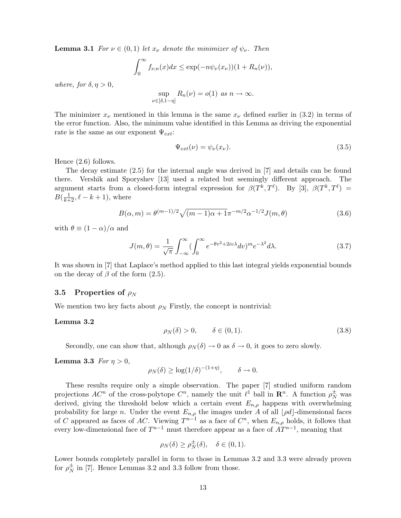**Lemma 3.1** For  $\nu \in (0,1)$  let  $x_{\nu}$  denote the minimizer of  $\psi_{\nu}$ . Then

$$
\int_0^\infty f_{\nu,n}(x)dx \le \exp(-n\psi_\nu(x_\nu))(1 + R_n(\nu)),
$$

where, for  $\delta, \eta > 0$ ,

$$
\sup_{\nu \in [\delta, 1-\eta]} R_n(\nu) = o(1) \text{ as } n \to \infty.
$$

The minimizer  $x_{\nu}$  mentioned in this lemma is the same  $x_{\nu}$  defined earlier in (3.2) in terms of the error function. Also, the minimum value identified in this Lemma as driving the exponential rate is the same as our exponent  $\Psi_{ext}$ :

$$
\Psi_{ext}(\nu) = \psi_{\nu}(x_{\nu}).\tag{3.5}
$$

Hence (2.6) follows.

The decay estimate (2.5) for the internal angle was derived in [7] and details can be found there. Vershik and Sporyshev [13] used a related but seemingly different approach. The argument starts from a closed-form integral expression for  $\beta(T^k, T^{\ell})$ . By [3],  $\beta(T^k, T^{\ell}) =$  $B(\frac{1}{k+2}, \ell - k + 1)$ , where

$$
B(\alpha, m) = \theta^{(m-1)/2} \sqrt{(m-1)\alpha + 1} \pi^{-m/2} \alpha^{-1/2} J(m, \theta)
$$
\n(3.6)

with  $\theta \equiv (1 - \alpha)/\alpha$  and

$$
J(m,\theta) = \frac{1}{\sqrt{\pi}} \int_{-\infty}^{\infty} (\int_{0}^{\infty} e^{-\theta v^{2} + 2iv\lambda} dv)^{m} e^{-\lambda^{2}} d\lambda.
$$
 (3.7)

It was shown in [7] that Laplace's method applied to this last integral yields exponential bounds on the decay of  $\beta$  of the form  $(2.5)$ .

#### 3.5 Properties of  $\rho_N$

We mention two key facts about  $\rho_N$  Firstly, the concept is nontrivial:

#### Lemma 3.2

$$
\rho_N(\delta) > 0, \qquad \delta \in (0, 1). \tag{3.8}
$$

Secondly, one can show that, although  $\rho_N(\delta) \to 0$  as  $\delta \to 0$ , it goes to zero slowly.

#### **Lemma 3.3** For  $\eta > 0$ ,

$$
\rho_N(\delta) \ge \log(1/\delta)^{-(1+\eta)}, \qquad \delta \to 0.
$$

These results require only a simple observation. The paper [7] studied uniform random projections  $AC^n$  of the cross-polytope  $C^n$ , namely the unit  $\ell^1$  ball in  $\mathbb{R}^n$ . A function  $\rho_N^{\pm}$  was derived, giving the threshold below which a certain event  $E_{n,\rho}$  happens with overwhelming probability for large n. Under the event  $E_{n,\rho}$  the images under A of all  $\lfloor \rho d \rfloor$ -dimensional faces of C appeared as faces of AC. Viewing  $T^{n-1}$  as a face of  $C^n$ , when  $E_{n,\rho}$  holds, it follows that every low-dimensional face of  $T^{n-1}$  must therefore appear as a face of  $\ddot{AT}^{n-1}$ , meaning that

$$
\rho_N(\delta) \ge \rho_N^{\pm}(\delta), \quad \delta \in (0,1).
$$

Lower bounds completely parallel in form to those in Lemmas 3.2 and 3.3 were already proven for  $\rho_N^{\pm}$  $\frac{1}{N}$  in [7]. Hence Lemmas 3.2 and 3.3 follow from those.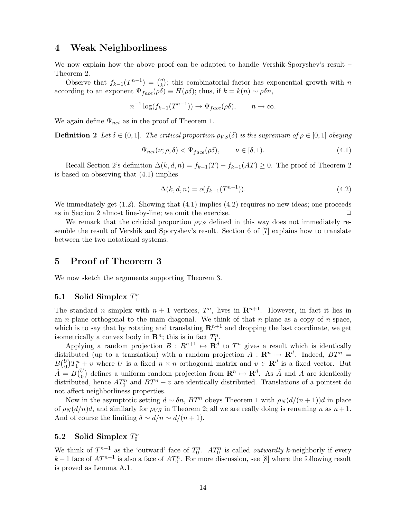## 4 Weak Neighborliness

We now explain how the above proof can be adapted to handle Vershik-Sporyshev's result – Theorem 2.

Observe that  $f_{k-1}(T^{n-1}) = {n \choose k}$  $\binom{n}{k}$ ; this combinatorial factor has exponential growth with n according to an exponent  $\Psi_{face}(\rho \delta) \equiv H(\rho \delta)$ ; thus, if  $k = k(n) \sim \rho \delta n$ ,

$$
n^{-1}\log(f_{k-1}(T^{n-1})) \to \Psi_{face}(\rho\delta), \qquad n \to \infty.
$$

We again define  $\Psi_{net}$  as in the proof of Theorem 1.

**Definition 2** Let  $\delta \in (0,1]$ . The critical proportion  $\rho_{VS}(\delta)$  is the supremum of  $\rho \in [0,1]$  obeying

$$
\Psi_{net}(\nu;\rho,\delta) < \Psi_{face}(\rho\delta), \qquad \nu \in [\delta,1). \tag{4.1}
$$

Recall Section 2's definition  $\Delta(k, d, n) = f_{k-1}(T) - f_{k-1}(AT) \geq 0$ . The proof of Theorem 2 is based on observing that (4.1) implies

$$
\Delta(k, d, n) = o(f_{k-1}(T^{n-1})).
$$
\n(4.2)

We immediately get  $(1.2)$ . Showing that  $(4.1)$  implies  $(4.2)$  requires no new ideas; one proceeds as in Section 2 almost line-by-line; we omit the exercise.  $\Box$ 

We remark that the criticial proportion  $\rho_{VS}$  defined in this way does not immediately resemble the result of Vershik and Sporyshev's result. Section 6 of [7] explains how to translate between the two notational systems.

### 5 Proof of Theorem 3

We now sketch the arguments supporting Theorem 3.

## 5.1 Solid Simplex  $T_1^n$

The standard *n* simplex with  $n + 1$  vertices,  $T^n$ , lives in  $\mathbb{R}^{n+1}$ . However, in fact it lies in an *n*-plane orthogonal to the main diagonal. We think of that *n*-plane as a copy of *n*-space, which is to say that by rotating and translating  $\mathbb{R}^{n+1}$  and dropping the last coordinate, we get isometrically a convex body in  $\mathbb{R}^n$ ; this is in fact  $T_1^n$ .

Applying a random projection  $B: R^{n+1} \mapsto \mathbf{R}^d$  to  $T^n$  gives a result which is identically distributed (up to a translation) with a random projection  $A: \mathbf{R}^n \mapsto \mathbf{R}^d$ . Indeed,  $BT^n =$  $B(^{U}_{0})T_{1}^{n}+v$  where U is a fixed  $n \times n$  orthogonal matrix and  $v \in \mathbf{R}^{d}$  is a fixed vector. But  $\tilde{A} = B\begin{pmatrix} U \\ 0 \end{pmatrix}$  defines a uniform random projection from  $\mathbb{R}^n \mapsto \mathbb{R}^d$ . As  $\tilde{A}$  and A are identically distributed, hence  $AT_1^n$  and  $BT^n - v$  are identically distributed. Translations of a pointset do not affect neighborliness properties.

Now in the asymptotic setting  $d \sim \delta n$ ,  $BT^n$  obeys Theorem 1 with  $\rho_N(d/(n+1))d$  in place of  $\rho_N(d/n)d$ , and similarly for  $\rho_{VS}$  in Theorem 2; all we are really doing is renaming n as  $n+1$ . And of course the limiting  $\delta \sim d/n \sim d/(n+1)$ .

## 5.2 Solid Simplex  $T_0^n$

We think of  $T^{n-1}$  as the 'outward' face of  $T_0^n$ .  $AT_0^n$  is called *outwardly k*-neighborly if every  $k-1$  face of  $AT^{n-1}$  is also a face of  $AT_0^n$ . For more discussion, see [8] where the following result is proved as Lemma A.1.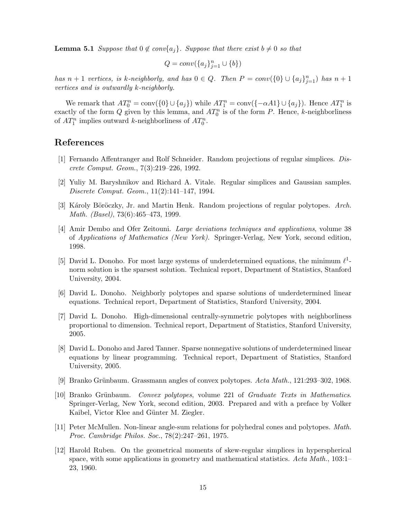**Lemma 5.1** Suppose that  $0 \notin conv\{a_j\}$ . Suppose that there exist  $b \neq 0$  so that

$$
Q = conv(\{a_j\}_{j=1}^n \cup \{b\})
$$

has  $n+1$  vertices, is k-neighborly, and has  $0 \in Q$ . Then  $P = conv({0} \cup {a_j}_{j=1}^n)$  has  $n+1$ vertices and is outwardly k-neighborly.

We remark that  $AT_0^n = \text{conv}(\{0\} \cup \{a_j\})$  while  $AT_1^n = \text{conv}(\{-\alpha A1\} \cup \{a_j\})$ . Hence  $AT_1^n$  is exactly of the form  $Q$  given by this lemma, and  $AT_0^n$  is of the form P. Hence, k-neighborliness of  $AT_1^n$  implies outward k-neighborliness of  $AT_0^n$ .

## References

- [1] Fernando Affentranger and Rolf Schneider. Random projections of regular simplices. Discrete Comput. Geom., 7(3):219–226, 1992.
- [2] Yuliy M. Baryshnikov and Richard A. Vitale. Regular simplices and Gaussian samples. Discrete Comput. Geom., 11(2):141–147, 1994.
- [3] Károly Böröczky, Jr. and Martin Henk. Random projections of regular polytopes. Arch. Math. (Basel), 73(6):465–473, 1999.
- [4] Amir Dembo and Ofer Zeitouni. Large deviations techniques and applications, volume 38 of Applications of Mathematics (New York). Springer-Verlag, New York, second edition, 1998.
- [5] David L. Donoho. For most large systems of underdetermined equations, the minimum  $\ell^1$ norm solution is the sparsest solution. Technical report, Department of Statistics, Stanford University, 2004.
- [6] David L. Donoho. Neighborly polytopes and sparse solutions of underdetermined linear equations. Technical report, Department of Statistics, Stanford University, 2004.
- [7] David L. Donoho. High-dimensional centrally-symmetric polytopes with neighborliness proportional to dimension. Technical report, Department of Statistics, Stanford University, 2005.
- [8] David L. Donoho and Jared Tanner. Sparse nonnegative solutions of underdetermined linear equations by linear programming. Technical report, Department of Statistics, Stanford University, 2005.
- [9] Branko Grünbaum. Grassmann angles of convex polytopes. Acta Math., 121:293-302, 1968.
- [10] Branko Grünbaum. Convex polytopes, volume 221 of Graduate Texts in Mathematics. Springer-Verlag, New York, second edition, 2003. Prepared and with a preface by Volker Kaibel, Victor Klee and Günter M. Ziegler.
- [11] Peter McMullen. Non-linear angle-sum relations for polyhedral cones and polytopes. Math. Proc. Cambridge Philos. Soc., 78(2):247–261, 1975.
- [12] Harold Ruben. On the geometrical moments of skew-regular simplices in hyperspherical space, with some applications in geometry and mathematical statistics. Acta Math., 103:1– 23, 1960.